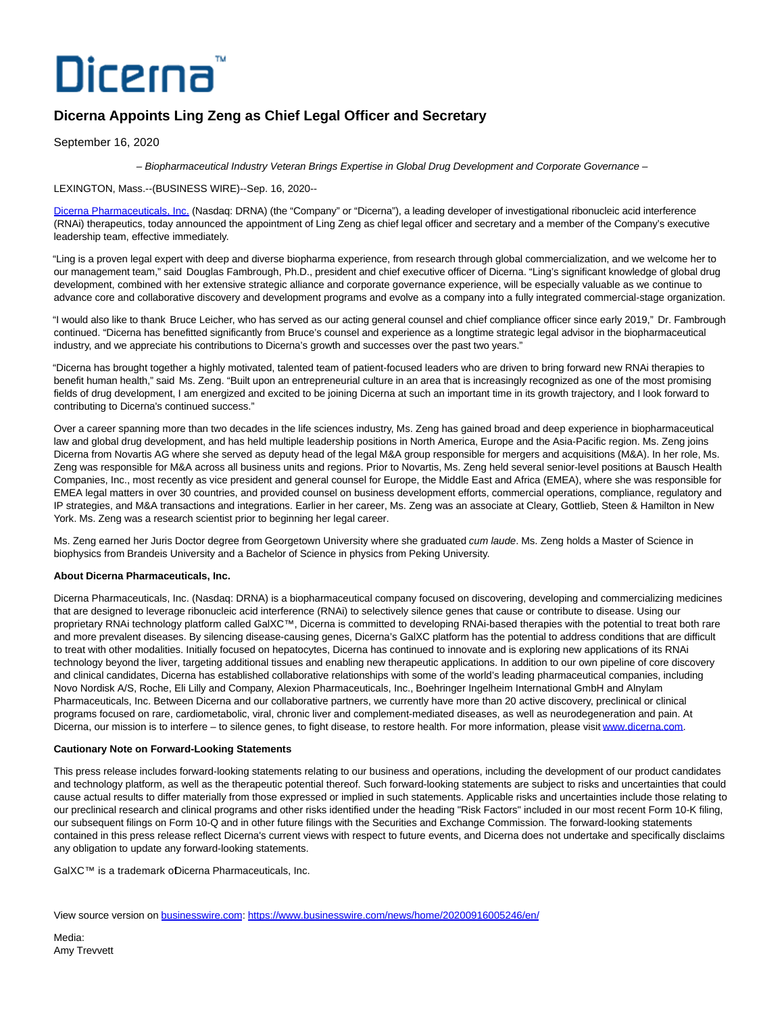## Dicerna

## **Dicerna Appoints Ling Zeng as Chief Legal Officer and Secretary**

September 16, 2020

– Biopharmaceutical Industry Veteran Brings Expertise in Global Drug Development and Corporate Governance –

LEXINGTON, Mass.--(BUSINESS WIRE)--Sep. 16, 2020--

[Dicerna Pharmaceuticals, Inc. \(](https://cts.businesswire.com/ct/CT?id=smartlink&url=http%3A%2F%2Fdicerna.com%2F&esheet=52287327&newsitemid=20200916005246&lan=en-US&anchor=Dicerna+Pharmaceuticals%2C+Inc.&index=1&md5=207a459167270cc9e8a4d175c01654fe)Nasdaq: DRNA) (the "Company" or "Dicerna"), a leading developer of investigational ribonucleic acid interference (RNAi) therapeutics, today announced the appointment of Ling Zeng as chief legal officer and secretary and a member of the Company's executive leadership team, effective immediately.

"Ling is a proven legal expert with deep and diverse biopharma experience, from research through global commercialization, and we welcome her to our management team," said Douglas Fambrough, Ph.D., president and chief executive officer of Dicerna. "Ling's significant knowledge of global drug development, combined with her extensive strategic alliance and corporate governance experience, will be especially valuable as we continue to advance core and collaborative discovery and development programs and evolve as a company into a fully integrated commercial-stage organization.

"I would also like to thank Bruce Leicher, who has served as our acting general counsel and chief compliance officer since early 2019," Dr. Fambrough continued. "Dicerna has benefitted significantly from Bruce's counsel and experience as a longtime strategic legal advisor in the biopharmaceutical industry, and we appreciate his contributions to Dicerna's growth and successes over the past two years."

"Dicerna has brought together a highly motivated, talented team of patient-focused leaders who are driven to bring forward new RNAi therapies to benefit human health," said Ms. Zeng. "Built upon an entrepreneurial culture in an area that is increasingly recognized as one of the most promising fields of drug development, I am energized and excited to be joining Dicerna at such an important time in its growth trajectory, and I look forward to contributing to Dicerna's continued success."

Over a career spanning more than two decades in the life sciences industry, Ms. Zeng has gained broad and deep experience in biopharmaceutical law and global drug development, and has held multiple leadership positions in North America, Europe and the Asia-Pacific region. Ms. Zeng joins Dicerna from Novartis AG where she served as deputy head of the legal M&A group responsible for mergers and acquisitions (M&A). In her role, Ms. Zeng was responsible for M&A across all business units and regions. Prior to Novartis, Ms. Zeng held several senior-level positions at Bausch Health Companies, Inc., most recently as vice president and general counsel for Europe, the Middle East and Africa (EMEA), where she was responsible for EMEA legal matters in over 30 countries, and provided counsel on business development efforts, commercial operations, compliance, regulatory and IP strategies, and M&A transactions and integrations. Earlier in her career, Ms. Zeng was an associate at Cleary, Gottlieb, Steen & Hamilton in New York. Ms. Zeng was a research scientist prior to beginning her legal career.

Ms. Zeng earned her Juris Doctor degree from Georgetown University where she graduated cum laude. Ms. Zeng holds a Master of Science in biophysics from Brandeis University and a Bachelor of Science in physics from Peking University.

## **About Dicerna Pharmaceuticals, Inc.**

Dicerna Pharmaceuticals, Inc. (Nasdaq: DRNA) is a biopharmaceutical company focused on discovering, developing and commercializing medicines that are designed to leverage ribonucleic acid interference (RNAi) to selectively silence genes that cause or contribute to disease. Using our proprietary RNAi technology platform called GalXC™, Dicerna is committed to developing RNAi-based therapies with the potential to treat both rare and more prevalent diseases. By silencing disease-causing genes, Dicerna's GalXC platform has the potential to address conditions that are difficult to treat with other modalities. Initially focused on hepatocytes, Dicerna has continued to innovate and is exploring new applications of its RNAi technology beyond the liver, targeting additional tissues and enabling new therapeutic applications. In addition to our own pipeline of core discovery and clinical candidates, Dicerna has established collaborative relationships with some of the world's leading pharmaceutical companies, including Novo Nordisk A/S, Roche, Eli Lilly and Company, Alexion Pharmaceuticals, Inc., Boehringer Ingelheim International GmbH and Alnylam Pharmaceuticals, Inc. Between Dicerna and our collaborative partners, we currently have more than 20 active discovery, preclinical or clinical programs focused on rare, cardiometabolic, viral, chronic liver and complement-mediated diseases, as well as neurodegeneration and pain. At Dicerna, our mission is to interfere – to silence genes, to fight disease, to restore health. For more information, please visi[t www.dicerna.com.](https://cts.businesswire.com/ct/CT?id=smartlink&url=http%3A%2F%2Fwww.dicerna.com&esheet=52287327&newsitemid=20200916005246&lan=en-US&anchor=www.dicerna.com&index=2&md5=78e392af765a8df9e75f1766a40b4ccd)

## **Cautionary Note on Forward-Looking Statements**

This press release includes forward-looking statements relating to our business and operations, including the development of our product candidates and technology platform, as well as the therapeutic potential thereof. Such forward-looking statements are subject to risks and uncertainties that could cause actual results to differ materially from those expressed or implied in such statements. Applicable risks and uncertainties include those relating to our preclinical research and clinical programs and other risks identified under the heading "Risk Factors" included in our most recent Form 10-K filing, our subsequent filings on Form 10-Q and in other future filings with the Securities and Exchange Commission. The forward-looking statements contained in this press release reflect Dicerna's current views with respect to future events, and Dicerna does not undertake and specifically disclaims any obligation to update any forward-looking statements.

GalXC™ is a trademark oDicerna Pharmaceuticals, Inc.

View source version on [businesswire.com:](http://businesswire.com/)<https://www.businesswire.com/news/home/20200916005246/en/>

Media: Amy Trevvett